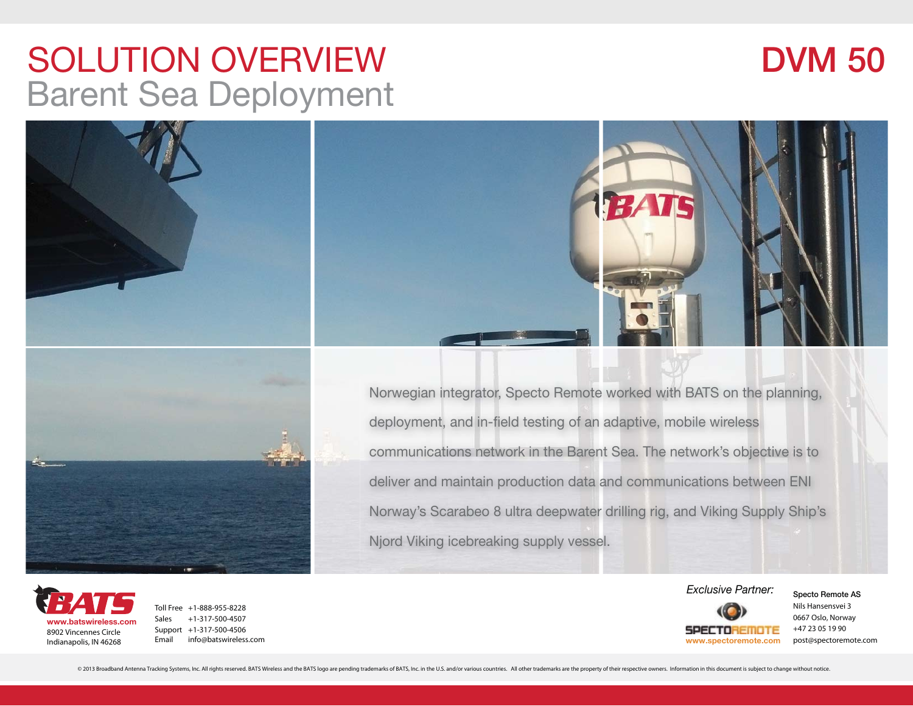### SOLUTION OVERVIEWBarent Sea Deployment

## **DVM 50**





Norwegian integrator, Specto Remote worked with BATS on the planning, deployment, and in-field testing of an adaptive, mobile wireless communications network in the Barent Sea. The network's objective is to deliver and maintain production data and communications between ENI Norway's Scarabeo 8 ultra deepwater drilling rig, and Viking Supply Ship's Njord Viking icebreaking supply vessel.



Toll Free +1-888-955-8228Sales +1-317-500-4507Support +1-317-500-4506 Email info@batswireless.com



Nils Hansensvei 30667 Oslo, Norway +47 23 05 19 90

© 2013 Broadband Antenna Tracking Systems, Inc. All rights reserved. BATS Wireless and the BATS logo are pending trademarks of BATS, Inc. in the U.S. and/or various countries. All other trademarks are the property of their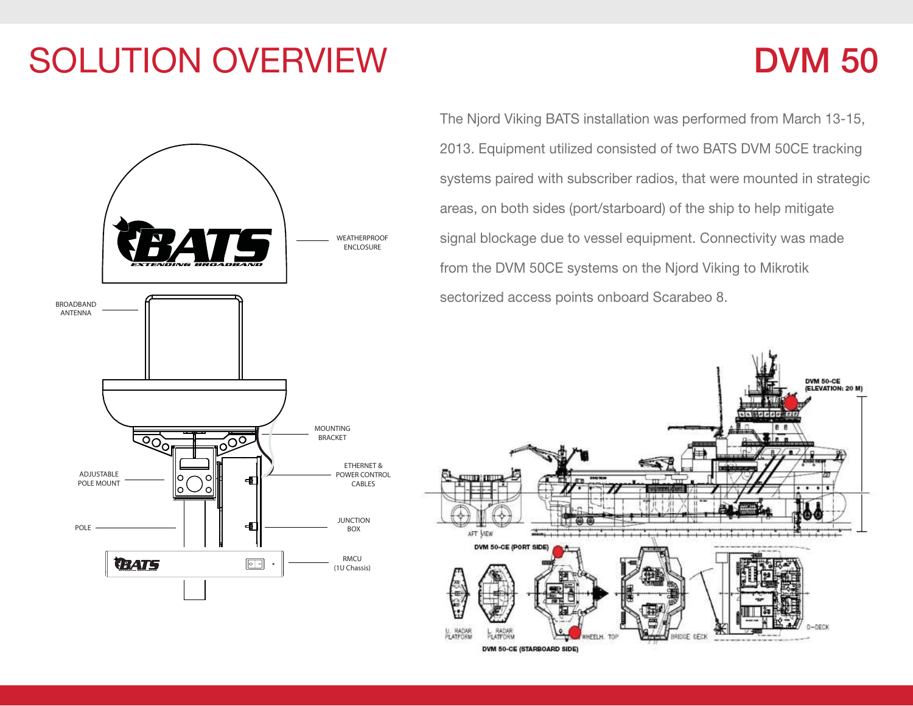# SOLUTION OVERVIEW

### **DVM 50**



The Njord Viking BATS installation was performed from March 13-15, 2013. Equipment utilized consisted of two BATS DVM 50CE tracking systems paired with subscriber radios, that were mounted in strategic areas, on both sides (port/starboard) of the ship to help mitigate signal blockage due to vessel equipment. Connectivity was made from the DVM 50CE systems on the Njord Viking to Mikrotik sectorized access points onboard Scarabeo 8.